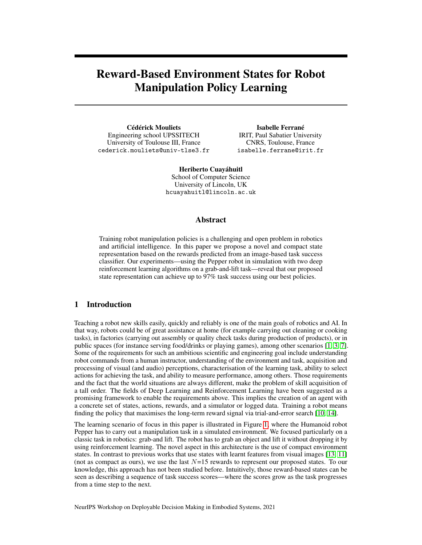# Reward-Based Environment States for Robot Manipulation Policy Learning

Cédérick Mouliets Engineering school UPSSITECH University of Toulouse III, France cederick.mouliets@univ-tlse3.fr

Isabelle Ferrané IRIT, Paul Sabatier University CNRS, Toulouse, France isabelle.ferrane@irit.fr

Heriberto Cuayáhuitl School of Computer Science University of Lincoln, UK hcuayahuitl@lincoln.ac.uk

#### Abstract

Training robot manipulation policies is a challenging and open problem in robotics and artificial intelligence. In this paper we propose a novel and compact state representation based on the rewards predicted from an image-based task success classifier. Our experiments—using the Pepper robot in simulation with two deep reinforcement learning algorithms on a grab-and-lift task—reveal that our proposed state representation can achieve up to 97% task success using our best policies.

# 1 Introduction

Teaching a robot new skills easily, quickly and reliably is one of the main goals of robotics and AI. In that way, robots could be of great assistance at home (for example carrying out cleaning or cooking tasks), in factories (carrying out assembly or quality check tasks during production of products), or in public spaces (for instance serving food/drinks or playing games), among other scenarios [\[1,](#page-4-0) [3,](#page-4-1) [7\]](#page-4-2). Some of the requirements for such an ambitious scientific and engineering goal include understanding robot commands from a human instructor, understanding of the environment and task, acquisition and processing of visual (and audio) perceptions, characterisation of the learning task, ability to select actions for achieving the task, and ability to measure performance, among others. Those requirements and the fact that the world situations are always different, make the problem of skill acquisition of a tall order. The fields of Deep Learning and Reinforcement Learning have been suggested as a promising framework to enable the requirements above. This implies the creation of an agent with a concrete set of states, actions, rewards, and a simulator or logged data. Training a robot means finding the policy that maximises the long-term reward signal via trial-and-error search [\[10,](#page-4-3) [14\]](#page-4-4).

The learning scenario of focus in this paper is illustrated in Figure [1,](#page-1-0) where the Humanoid robot Pepper has to carry out a manipulation task in a simulated environment. We focused particularly on a classic task in robotics: grab-and lift. The robot has to grab an object and lift it without dropping it by using reinforcement learning. The novel aspect in this architecture is the use of compact environment states. In contrast to previous works that use states with learnt features from visual images [\[13,](#page-4-5) [11\]](#page-4-6) (not as compact as ours), we use the last  $N=15$  rewards to represent our proposed states. To our knowledge, this approach has not been studied before. Intuitively, those reward-based states can be seen as describing a sequence of task success scores—where the scores grow as the task progresses from a time step to the next.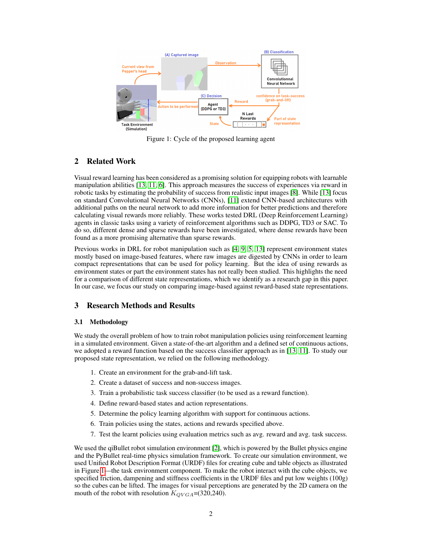<span id="page-1-0"></span>

Figure 1: Cycle of the proposed learning agent

# 2 Related Work

Visual reward learning has been considered as a promising solution for equipping robots with learnable manipulation abilities [\[13,](#page-4-5) [11,](#page-4-6) [6\]](#page-4-7). This approach measures the success of experiences via reward in robotic tasks by estimating the probability of success from realistic input images [\[8\]](#page-4-8). While [\[13\]](#page-4-5) focus on standard Convolutional Neural Networks (CNNs), [\[11\]](#page-4-6) extend CNN-based architectures with additional paths on the neural network to add more information for better predictions and therefore calculating visual rewards more reliably. These works tested DRL (Deep Reinforcement Learning) agents in classic tasks using a variety of reinforcement algorithms such as DDPG, TD3 or SAC. To do so, different dense and sparse rewards have been investigated, where dense rewards have been found as a more promising alternative than sparse rewards.

Previous works in DRL for robot manipulation such as [\[4,](#page-4-9) [9,](#page-4-10) [5,](#page-4-11) [13\]](#page-4-5) represent environment states mostly based on image-based features, where raw images are digested by CNNs in order to learn compact representations that can be used for policy learning. But the idea of using rewards as environment states or part the environment states has not really been studied. This highlights the need for a comparison of different state representations, which we identify as a research gap in this paper. In our case, we focus our study on comparing image-based against reward-based state representations.

## 3 Research Methods and Results

#### 3.1 Methodology

We study the overall problem of how to train robot manipulation policies using reinforcement learning in a simulated environment. Given a state-of-the-art algorithm and a defined set of continuous actions, we adopted a reward function based on the success classifier approach as in [\[13,](#page-4-5) [11\]](#page-4-6). To study our proposed state representation, we relied on the following methodology.

- 1. Create an environment for the grab-and-lift task.
- 2. Create a dataset of success and non-success images.
- 3. Train a probabilistic task success classifier (to be used as a reward function).
- 4. Define reward-based states and action representations.
- 5. Determine the policy learning algorithm with support for continuous actions.
- 6. Train policies using the states, actions and rewards specified above.
- 7. Test the learnt policies using evaluation metrics such as avg. reward and avg. task success.

We used the qiBullet robot simulation environment [\[2\]](#page-4-12), which is powered by the Bullet physics engine and the PyBullet real-time physics simulation framework. To create our simulation environment, we used Unified Robot Description Format (URDF) files for creating cube and table objects as illustrated in Figure [1—](#page-1-0)the task environment component. To make the robot interact with the cube objects, we specified friction, dampening and stiffness coefficients in the URDF files and put low weights (100g) so the cubes can be lifted. The images for visual perceptions are generated by the 2D camera on the mouth of the robot with resolution  $K_{OVGA}$ =(320,240).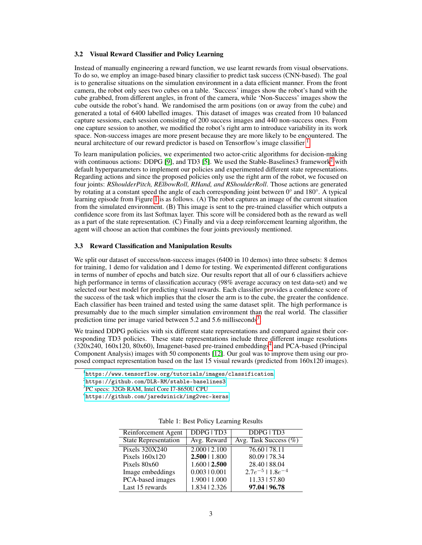#### 3.2 Visual Reward Classifier and Policy Learning

Instead of manually engineering a reward function, we use learnt rewards from visual observations. To do so, we employ an image-based binary classifier to predict task success (CNN-based). The goal is to generalise situations on the simulation environment in a data efficient manner. From the front camera, the robot only sees two cubes on a table. 'Success' images show the robot's hand with the cube grabbed, from different angles, in front of the camera, while 'Non-Success' images show the cube outside the robot's hand. We randomised the arm positions (on or away from the cube) and generated a total of 6400 labelled images. This dataset of images was created from 10 balanced capture sessions, each session consisting of 200 success images and 440 non-success ones. From one capture session to another, we modified the robot's right arm to introduce variability in its work space. Non-success images are more present because they are more likely to be encountered. The neural architecture of our reward predictor is based on Tensorflow's image classifier <sup>[1](#page-2-0)</sup>.

To learn manipulation policies, we experimented two actor-critic algorithms for decision-making with continuous actions: DDPG [\[9\]](#page-4-10), and TD3 [\[5\]](#page-4-11). We used the Stable-Baselines3 framework<sup>[2](#page-2-1)</sup> with default hyperparameters to implement our policies and experimented different state representations. Regarding actions and since the proposed policies only use the right arm of the robot, we focused on four joints: *RShoulderPitch, RElbowRoll, RHand, and RShoulderRoll*. Those actions are generated by rotating at a constant speed the angle of each corresponding joint between 0° and 180°. A typical learning episode from Figure [1](#page-1-0) is as follows. (A) The robot captures an image of the current situation from the simulated environment. (B) This image is sent to the pre-trained classifier which outputs a confidence score from its last Softmax layer. This score will be considered both as the reward as well as a part of the state representation. (C) Finally and via a deep reinforcement learning algorithm, the agent will choose an action that combines the four joints previously mentioned.

#### 3.3 Reward Classification and Manipulation Results

We split our dataset of success/non-success images (6400 in 10 demos) into three subsets: 8 demos for training, 1 demo for validation and 1 demo for testing. We experimented different configurations in terms of number of epochs and batch size. Our results report that all of our 6 classifiers achieve high performance in terms of classification accuracy (98% average accuracy on test data-set) and we selected our best model for predicting visual rewards. Each classifier provides a confidence score of the success of the task which implies that the closer the arm is to the cube, the greater the confidence. Each classifier has been trained and tested using the same dataset split. The high performance is presumably due to the much simpler simulation environment than the real world. The classifier prediction time per image varied between 5.2 and 5.6 milliseconds<sup>[3](#page-2-2)</sup>.

We trained DDPG policies with six different state representations and compared against their corresponding TD3 policies. These state representations include three different image resolutions (320x2[4](#page-2-3)0, 160x120, 80x60), Imagenet-based pre-trained embeddings<sup>4</sup> and PCA-based (Principal Component Analysis) images with 50 components [\[12\]](#page-4-13). Our goal was to improve them using our proposed compact representation based on the last 15 visual rewards (predicted from 160x120 images).

<span id="page-2-4"></span><span id="page-2-3"></span><sup>4</sup> <https://github.com/jaredwinick/img2vec-keras>

| Reinforcement Agent         | DDPG   TD3         | DDPG   TD3                |
|-----------------------------|--------------------|---------------------------|
| <b>State Representation</b> | Avg. Reward        | Avg. Task Success $(\%)$  |
| <b>Pixels 320X240</b>       | 2.00012.100        | 76.60   78.11             |
| Pixels $160x120$            | 2.50011.800        | 80.09   78.34             |
| Pixels $80x60$              | $1.600 \mid 2.500$ | 28.40   88.04             |
| Image embeddings            | 0.00310.001        | $2.7e^{-5}$   $1.8e^{-4}$ |
| PCA-based images            | 1.900   1.000      | 11.33   57.80             |
| Last 15 rewards             | 1.834   2.326      | 97.04   96.78             |

Table 1: Best Policy Learning Results

<span id="page-2-0"></span><sup>1</sup> <https://www.tensorflow.org/tutorials/images/classification>

<span id="page-2-1"></span> $^{2}$ https://github.com/DLR-RM/stable-baselines $3\,$ 

<span id="page-2-2"></span><sup>3</sup> PC specs: 32Gb RAM, Intel Core I7-8650U CPU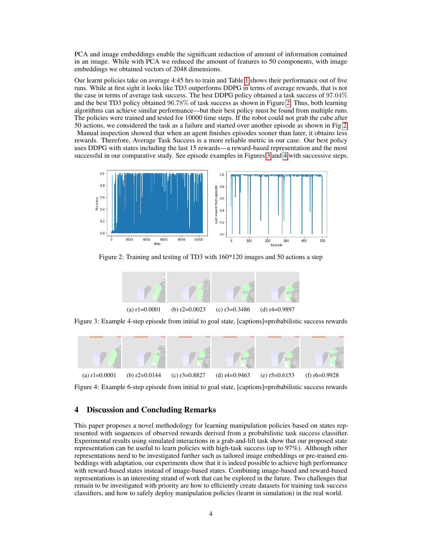PCA and image embeddings enable the significant reduction of amount of information contained in an image. While with PCA we reduced the amount of features to 50 components, with image embeddings we obtained vectors of 2048 dimensions.

Our learnt policies take on average 4:45 hrs to train and Table [1](#page-2-4) shows their performance out of five runs. While at first sight it looks like TD3 outperforms DDPG in terms of average rewards, that is not the case in terms of average task success. The best DDPG policy obtained a task success of 97.04% and the best TD3 policy obtained 96.78% of task success as shown in Figure [2.](#page-3-0) Thus, both learning algorithms can achieve similar performance—but their best policy must be found from multiple runs. The policies were trained and tested for 10000 time steps. If the robot could not grab the cube after 50 actions, we considered the task as a failure and started over another episode as shown in Fig [2.](#page-3-0) Manual inspection showed that when an agent finishes episodes sooner than later, it obtains less rewards. Therefore, Average Task Success is a more reliable metric in our case. Our best policy uses DDPG with states including the last 15 rewards—a reward-based representation and the most successful in our comparative study. See episode examples in Figures [3](#page-3-1) and [4](#page-3-2) with successive steps.

<span id="page-3-0"></span>

<span id="page-3-1"></span>Figure 2: Training and testing of TD3 with 160\*120 images and 50 actions a step



Figure 3: Example 4-step episode from initial to goal state, [captions]=probabilistic success rewards

<span id="page-3-2"></span>

Figure 4: Example 6-step episode from initial to goal state, [captions]=probabilistic success rewards

#### 4 Discussion and Concluding Remarks

This paper proposes a novel methodology for learning manipulation policies based on states represented with sequences of observed rewards derived from a probabilistic task success classifier. Experimental results using simulated interactions in a grab-and-lift task show that our proposed state representation can be useful to learn policies with high-task success (up to 97%). Although other representations need to be investigated further such as tailored image embeddings or pre-trained embeddings with adaptation, our experiments show that it is indeed possible to achieve high performance with reward-based states instead of image-based states. Combining image-based and reward-based representations is an interesting strand of work that can be explored in the future. Two challenges that remain to be investigated with priority are how to efficiently create datasets for training task success classifiers, and how to safely deploy manipulation policies (learnt in simulation) in the real world.